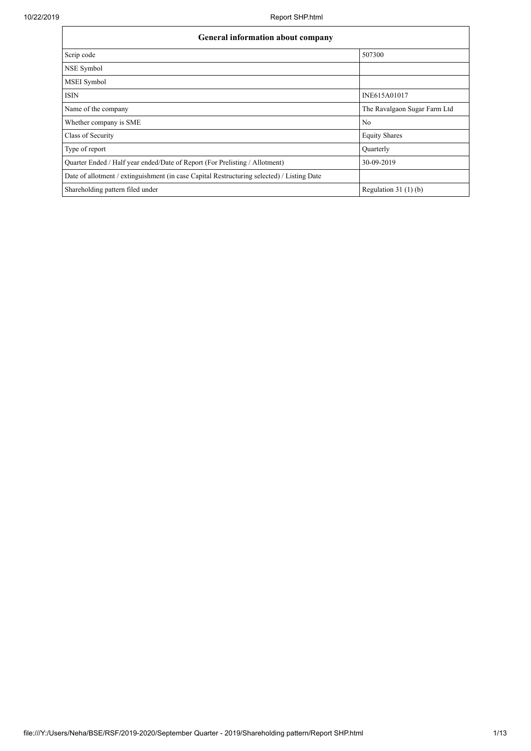| General information about company                                                          |                              |  |  |  |  |  |  |
|--------------------------------------------------------------------------------------------|------------------------------|--|--|--|--|--|--|
| Scrip code                                                                                 | 507300                       |  |  |  |  |  |  |
| NSE Symbol                                                                                 |                              |  |  |  |  |  |  |
| <b>MSEI</b> Symbol                                                                         |                              |  |  |  |  |  |  |
| <b>ISIN</b>                                                                                | INE615A01017                 |  |  |  |  |  |  |
| Name of the company                                                                        | The Ravalgaon Sugar Farm Ltd |  |  |  |  |  |  |
| Whether company is SME                                                                     | N <sub>0</sub>               |  |  |  |  |  |  |
| Class of Security                                                                          | <b>Equity Shares</b>         |  |  |  |  |  |  |
| Type of report                                                                             | Ouarterly                    |  |  |  |  |  |  |
| Quarter Ended / Half year ended/Date of Report (For Prelisting / Allotment)                | 30-09-2019                   |  |  |  |  |  |  |
| Date of allotment / extinguishment (in case Capital Restructuring selected) / Listing Date |                              |  |  |  |  |  |  |
| Shareholding pattern filed under                                                           | Regulation $31(1)(b)$        |  |  |  |  |  |  |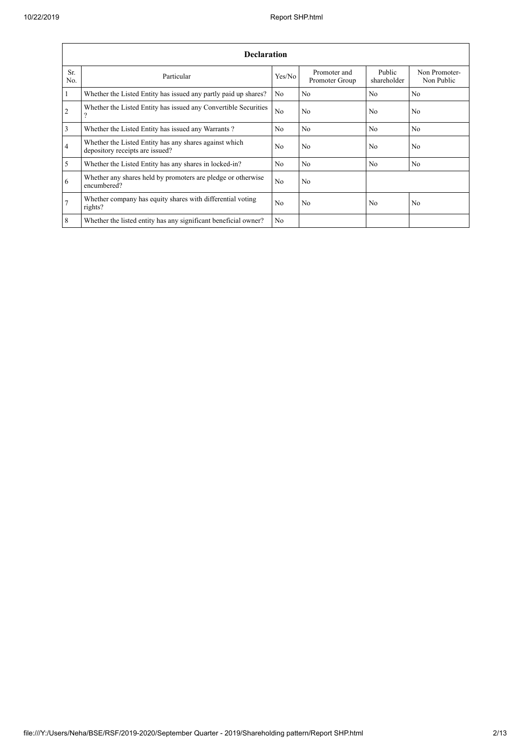|                 | <b>Declaration</b>                                                                        |                |                                |                       |                             |  |  |  |  |  |  |
|-----------------|-------------------------------------------------------------------------------------------|----------------|--------------------------------|-----------------------|-----------------------------|--|--|--|--|--|--|
| Sr.<br>No.      | Particular                                                                                | Yes/No         | Promoter and<br>Promoter Group | Public<br>shareholder | Non Promoter-<br>Non Public |  |  |  |  |  |  |
| $\overline{1}$  | Whether the Listed Entity has issued any partly paid up shares?                           | N <sub>0</sub> | N <sub>0</sub>                 | N <sub>0</sub>        | N <sub>0</sub>              |  |  |  |  |  |  |
| $\overline{2}$  | Whether the Listed Entity has issued any Convertible Securities<br>$\gamma$               | No             | N <sub>0</sub>                 | N <sub>0</sub>        | N <sub>0</sub>              |  |  |  |  |  |  |
| $\overline{3}$  | Whether the Listed Entity has issued any Warrants?                                        | N <sub>0</sub> | N <sub>o</sub>                 | N <sub>o</sub>        | N <sub>0</sub>              |  |  |  |  |  |  |
| $\overline{4}$  | Whether the Listed Entity has any shares against which<br>depository receipts are issued? | No             | N <sub>0</sub>                 | N <sub>0</sub>        | N <sub>0</sub>              |  |  |  |  |  |  |
| $\overline{5}$  | Whether the Listed Entity has any shares in locked-in?                                    | N <sub>0</sub> | No                             | N <sub>0</sub>        | No                          |  |  |  |  |  |  |
| 6               | Whether any shares held by promoters are pledge or otherwise<br>encumbered?               | No             | N <sub>0</sub>                 |                       |                             |  |  |  |  |  |  |
| $\overline{7}$  | Whether company has equity shares with differential voting<br>rights?                     | No             | N <sub>0</sub>                 | N <sub>0</sub>        | N <sub>0</sub>              |  |  |  |  |  |  |
| $8\phantom{.}8$ | Whether the listed entity has any significant beneficial owner?                           | N <sub>0</sub> |                                |                       |                             |  |  |  |  |  |  |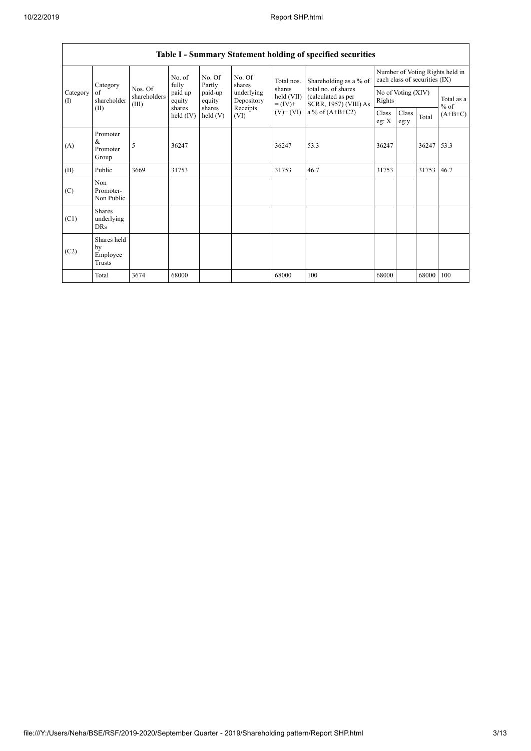|                                           | Table I - Summary Statement holding of specified securities |                                                     |                   |                                         |                                              |                                                                |                                                                                                                   |                              |               |                               |                                 |  |
|-------------------------------------------|-------------------------------------------------------------|-----------------------------------------------------|-------------------|-----------------------------------------|----------------------------------------------|----------------------------------------------------------------|-------------------------------------------------------------------------------------------------------------------|------------------------------|---------------|-------------------------------|---------------------------------|--|
| Category<br>Category<br>of<br>(1)<br>(II) |                                                             | fully<br>Nos. Of<br>shareholders<br>(III)<br>shares | No. of            | No. Of<br>Partly                        | No. Of<br>shares                             | Total nos.<br>shares<br>held (VII)<br>$= (IV) +$<br>$(V)+(VI)$ | Shareholding as a % of<br>total no. of shares<br>(calculated as per<br>SCRR, 1957) (VIII) As<br>a % of $(A+B+C2)$ |                              |               | each class of securities (IX) | Number of Voting Rights held in |  |
|                                           | shareholder                                                 |                                                     | paid up<br>equity | paid-up<br>equity<br>shares<br>held (V) | underlying<br>Depository<br>Receipts<br>(VI) |                                                                |                                                                                                                   | No of Voting (XIV)<br>Rights |               |                               | Total as a<br>$%$ of            |  |
|                                           |                                                             |                                                     | held $(IV)$       |                                         |                                              |                                                                |                                                                                                                   | Class<br>eg: $\mathbf{X}$    | Class<br>eg:y | Total                         | $(A+B+C)$                       |  |
| (A)                                       | Promoter<br>&<br>Promoter<br>Group                          | 5                                                   | 36247             |                                         |                                              | 36247                                                          | 53.3                                                                                                              | 36247                        |               | 36247                         | 53.3                            |  |
| (B)                                       | Public                                                      | 3669                                                | 31753             |                                         |                                              | 31753                                                          | 46.7                                                                                                              | 31753                        |               | 31753                         | 46.7                            |  |
| (C)                                       | Non<br>Promoter-<br>Non Public                              |                                                     |                   |                                         |                                              |                                                                |                                                                                                                   |                              |               |                               |                                 |  |
| (C1)                                      | <b>Shares</b><br>underlying<br><b>DRs</b>                   |                                                     |                   |                                         |                                              |                                                                |                                                                                                                   |                              |               |                               |                                 |  |
| (C2)                                      | Shares held<br>by<br>Employee<br>Trusts                     |                                                     |                   |                                         |                                              |                                                                |                                                                                                                   |                              |               |                               |                                 |  |
|                                           | Total                                                       | 3674                                                | 68000             |                                         |                                              | 68000                                                          | 100                                                                                                               | 68000                        |               | 68000                         | 100                             |  |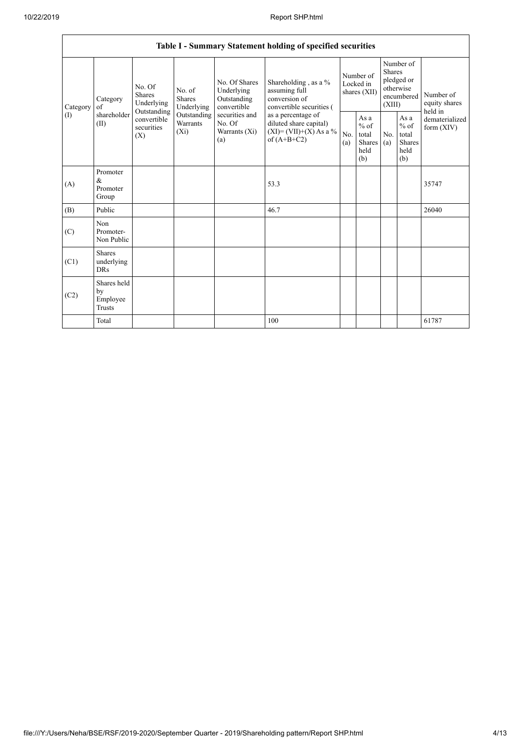|                 | Table I - Summary Statement holding of specified securities |                                                                                                                                                                         |                                                  |                                                                                            |                                                                                        |                                                  |                       |                                                                               |                                |                                       |  |
|-----------------|-------------------------------------------------------------|-------------------------------------------------------------------------------------------------------------------------------------------------------------------------|--------------------------------------------------|--------------------------------------------------------------------------------------------|----------------------------------------------------------------------------------------|--------------------------------------------------|-----------------------|-------------------------------------------------------------------------------|--------------------------------|---------------------------------------|--|
| Category<br>(1) | Category<br>of<br>shareholder<br>(II)                       | No. Of<br>No. of<br><b>Shares</b><br><b>Shares</b><br>Underlying<br>Underlying<br>Outstanding<br>Outstanding<br>convertible<br>Warrants<br>securities<br>$(X_i)$<br>(X) |                                                  | No. Of Shares<br>Underlying<br>Outstanding<br>convertible                                  | Shareholding , as a $\%$<br>assuming full<br>conversion of<br>convertible securities ( | Number of<br>Locked in<br>shares (XII)           |                       | Number of<br><b>Shares</b><br>pledged or<br>otherwise<br>encumbered<br>(XIII) |                                | Number of<br>equity shares<br>held in |  |
|                 |                                                             |                                                                                                                                                                         | securities and<br>No. Of<br>Warrants (Xi)<br>(a) | as a percentage of<br>diluted share capital)<br>$(XI) = (VII)+(X) As a %$<br>of $(A+B+C2)$ | No.<br>(a)                                                                             | As a<br>$%$ of<br>total<br>Shares<br>held<br>(b) | N <sub>0</sub><br>(a) | As a<br>$%$ of<br>total<br>Shares<br>held<br>(b)                              | dematerialized<br>form $(XIV)$ |                                       |  |
| (A)             | Promoter<br>$\&$<br>Promoter<br>Group                       |                                                                                                                                                                         |                                                  |                                                                                            | 53.3                                                                                   |                                                  |                       |                                                                               |                                | 35747                                 |  |
| (B)             | Public                                                      |                                                                                                                                                                         |                                                  |                                                                                            | 46.7                                                                                   |                                                  |                       |                                                                               |                                | 26040                                 |  |
| (C)             | Non<br>Promoter-<br>Non Public                              |                                                                                                                                                                         |                                                  |                                                                                            |                                                                                        |                                                  |                       |                                                                               |                                |                                       |  |
| (C1)            | <b>Shares</b><br>underlying<br><b>DRs</b>                   |                                                                                                                                                                         |                                                  |                                                                                            |                                                                                        |                                                  |                       |                                                                               |                                |                                       |  |
| (C2)            | Shares held<br>by<br>Employee<br>Trusts                     |                                                                                                                                                                         |                                                  |                                                                                            |                                                                                        |                                                  |                       |                                                                               |                                |                                       |  |
|                 | Total                                                       |                                                                                                                                                                         |                                                  |                                                                                            | 100                                                                                    |                                                  |                       |                                                                               |                                | 61787                                 |  |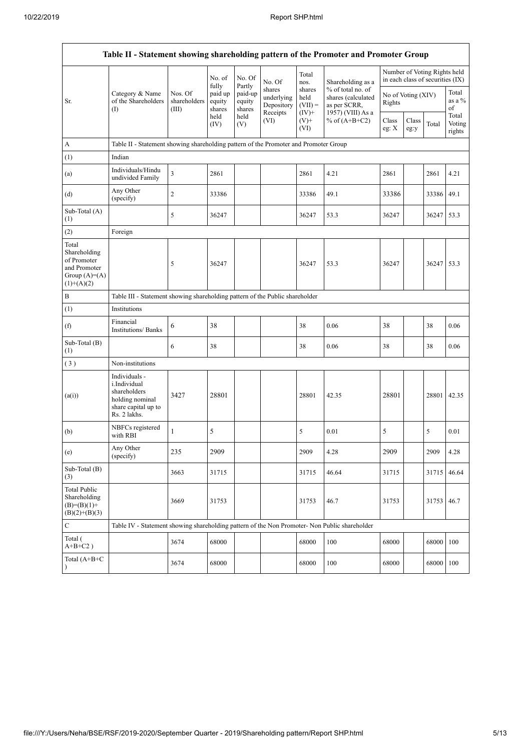$\mathbf{r}$ 

| Table II - Statement showing shareholding pattern of the Promoter and Promoter Group   |                                                                                                                |                                  |                             |                             |                                                |                                        |                                                                              |                  |                    |                                                                  |                           |
|----------------------------------------------------------------------------------------|----------------------------------------------------------------------------------------------------------------|----------------------------------|-----------------------------|-----------------------------|------------------------------------------------|----------------------------------------|------------------------------------------------------------------------------|------------------|--------------------|------------------------------------------------------------------|---------------------------|
|                                                                                        |                                                                                                                |                                  | No. of<br>fully             | No. Of<br>Partly            | No. Of                                         | Total<br>nos.                          | Shareholding as a                                                            |                  |                    | Number of Voting Rights held<br>in each class of securities (IX) |                           |
| Sr.                                                                                    | Category & Name<br>of the Shareholders<br>(1)                                                                  | Nos. Of<br>shareholders<br>(III) | paid up<br>equity<br>shares | paid-up<br>equity<br>shares | shares<br>underlying<br>Depository<br>Receipts | shares<br>held<br>$(VII) =$<br>$(IV)+$ | % of total no. of<br>shares (calculated<br>as per SCRR,<br>1957) (VIII) As a | Rights           | No of Voting (XIV) |                                                                  | Total<br>as a %<br>of     |
|                                                                                        |                                                                                                                |                                  | held<br>(IV)                | held<br>(V)                 | (VI)                                           | $(V)$ +<br>(VI)                        | % of $(A+B+C2)$                                                              | Class<br>eg: $X$ | Class<br>eg:y      | Total                                                            | Total<br>Voting<br>rights |
| $\boldsymbol{A}$                                                                       | Table II - Statement showing shareholding pattern of the Promoter and Promoter Group                           |                                  |                             |                             |                                                |                                        |                                                                              |                  |                    |                                                                  |                           |
| (1)                                                                                    | Indian                                                                                                         |                                  |                             |                             |                                                |                                        |                                                                              |                  |                    |                                                                  |                           |
| (a)                                                                                    | Individuals/Hindu<br>undivided Family                                                                          | $\overline{\mathbf{3}}$          | 2861                        |                             |                                                | 2861                                   | 4.21                                                                         | 2861             |                    | 2861                                                             | 4.21                      |
| (d)                                                                                    | Any Other<br>(specify)                                                                                         | $\boldsymbol{2}$                 | 33386                       |                             |                                                | 33386                                  | 49.1                                                                         | 33386            |                    | 33386                                                            | 49.1                      |
| Sub-Total (A)<br>(1)                                                                   |                                                                                                                | 5                                | 36247                       |                             |                                                | 36247                                  | 53.3                                                                         | 36247            |                    | 36247 53.3                                                       |                           |
| (2)                                                                                    | Foreign                                                                                                        |                                  |                             |                             |                                                |                                        |                                                                              |                  |                    |                                                                  |                           |
| Total<br>Shareholding<br>of Promoter<br>and Promoter<br>Group $(A)=A)$<br>$(1)+(A)(2)$ |                                                                                                                | 5                                | 36247                       |                             |                                                | 36247                                  | 53.3                                                                         | 36247            |                    | 36247 53.3                                                       |                           |
| $\, {\bf B}$                                                                           | Table III - Statement showing shareholding pattern of the Public shareholder                                   |                                  |                             |                             |                                                |                                        |                                                                              |                  |                    |                                                                  |                           |
| (1)                                                                                    | Institutions                                                                                                   |                                  |                             |                             |                                                |                                        |                                                                              |                  |                    |                                                                  |                           |
| (f)                                                                                    | Financial<br><b>Institutions/Banks</b>                                                                         | 6                                | 38                          |                             |                                                | 38                                     | 0.06                                                                         | 38               |                    | 38                                                               | 0.06                      |
| Sub-Total (B)<br>(1)                                                                   |                                                                                                                | 6                                | 38                          |                             |                                                | 38                                     | 0.06                                                                         | 38               |                    | 38                                                               | 0.06                      |
| (3)                                                                                    | Non-institutions                                                                                               |                                  |                             |                             |                                                |                                        |                                                                              |                  |                    |                                                                  |                           |
| (a(i))                                                                                 | Individuals -<br><i>i.Individual</i><br>shareholders<br>holding nominal<br>share capital up to<br>Rs. 2 lakhs. | 3427                             | 28801                       |                             |                                                | 28801                                  | 42.35                                                                        | 28801            |                    | 28801 42.35                                                      |                           |
| (b)                                                                                    | NBFCs registered<br>with RBI                                                                                   | $\mathbf{1}$                     | 5                           |                             |                                                | 5                                      | 0.01                                                                         | 5                |                    | 5                                                                | 0.01                      |
| (e)                                                                                    | Any Other<br>(specify)                                                                                         | 235                              | 2909                        |                             |                                                | 2909                                   | 4.28                                                                         | 2909             |                    | 2909                                                             | 4.28                      |
| Sub-Total (B)<br>(3)                                                                   |                                                                                                                | 3663                             | 31715                       |                             |                                                | 31715                                  | 46.64                                                                        | 31715            |                    | 31715                                                            | 46.64                     |
| <b>Total Public</b><br>Shareholding<br>$(B)= (B)(1) +$<br>$(B)(2)+(B)(3)$              |                                                                                                                | 3669                             | 31753                       |                             |                                                | 31753                                  | 46.7                                                                         | 31753            |                    | 31753                                                            | 46.7                      |
| $\mathbf C$                                                                            | Table IV - Statement showing shareholding pattern of the Non Promoter- Non Public shareholder                  |                                  |                             |                             |                                                |                                        |                                                                              |                  |                    |                                                                  |                           |
| Total (<br>$A+B+C2$ )                                                                  |                                                                                                                | 3674                             | 68000                       |                             |                                                | 68000                                  | 100                                                                          | 68000            |                    | 68000                                                            | 100                       |
| Total (A+B+C<br>$\mathcal{E}$                                                          |                                                                                                                | 3674                             | 68000                       |                             |                                                | 68000                                  | 100                                                                          | 68000            |                    | 68000 100                                                        |                           |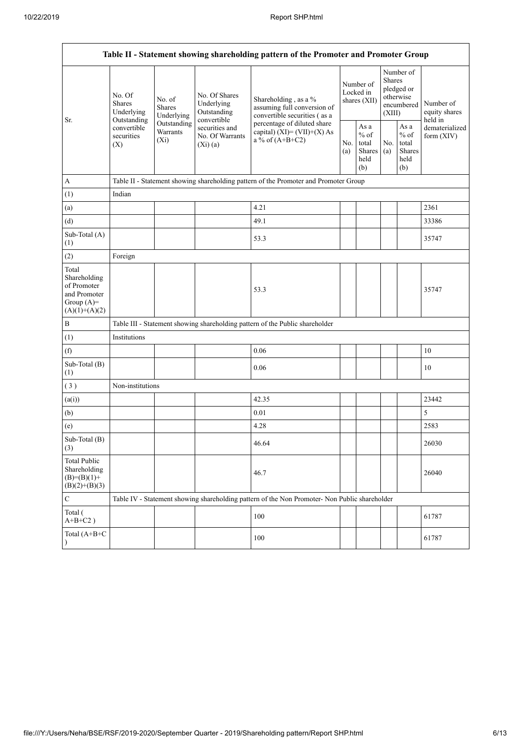| Table II - Statement showing shareholding pattern of the Promoter and Promoter Group    |                                                                                                                                |                                                                                      |                                                           |                                                                                                                    |                                        |                                                  |                                                                               |                                                         |                                       |  |  |  |
|-----------------------------------------------------------------------------------------|--------------------------------------------------------------------------------------------------------------------------------|--------------------------------------------------------------------------------------|-----------------------------------------------------------|--------------------------------------------------------------------------------------------------------------------|----------------------------------------|--------------------------------------------------|-------------------------------------------------------------------------------|---------------------------------------------------------|---------------------------------------|--|--|--|
| Sr.                                                                                     | No. Of<br>No. of<br><b>Shares</b><br><b>Shares</b><br>Underlying<br>Outstanding<br>convertible<br>securities<br>$(X_i)$<br>(X) | Underlying                                                                           | No. Of Shares<br>Underlying<br>Outstanding<br>convertible | Shareholding, as a %<br>assuming full conversion of<br>convertible securities (as a<br>percentage of diluted share | Number of<br>Locked in<br>shares (XII) |                                                  | Number of<br><b>Shares</b><br>pledged or<br>otherwise<br>encumbered<br>(XIII) |                                                         | Number of<br>equity shares<br>held in |  |  |  |
|                                                                                         |                                                                                                                                | Outstanding<br>Warrants                                                              | securities and<br>No. Of Warrants<br>(Xi)(a)              | capital) $(XI) = (VII)+(X) As$<br>$a\%$ of $(A+B+C2)$                                                              |                                        | As a<br>$%$ of<br>total<br>Shares<br>held<br>(b) | No.<br>(a)                                                                    | As a<br>$%$ of<br>total<br><b>Shares</b><br>held<br>(b) | dematerialized<br>form $(XIV)$        |  |  |  |
| A                                                                                       |                                                                                                                                | Table II - Statement showing shareholding pattern of the Promoter and Promoter Group |                                                           |                                                                                                                    |                                        |                                                  |                                                                               |                                                         |                                       |  |  |  |
| (1)                                                                                     | Indian                                                                                                                         |                                                                                      |                                                           |                                                                                                                    |                                        |                                                  |                                                                               |                                                         |                                       |  |  |  |
| (a)                                                                                     |                                                                                                                                |                                                                                      |                                                           | 4.21                                                                                                               |                                        |                                                  |                                                                               |                                                         | 2361                                  |  |  |  |
| (d)                                                                                     |                                                                                                                                |                                                                                      |                                                           | 49.1                                                                                                               |                                        |                                                  |                                                                               |                                                         | 33386                                 |  |  |  |
| Sub-Total (A)<br>(1)                                                                    |                                                                                                                                |                                                                                      |                                                           | 53.3                                                                                                               |                                        |                                                  |                                                                               |                                                         | 35747                                 |  |  |  |
| (2)                                                                                     | Foreign                                                                                                                        |                                                                                      |                                                           |                                                                                                                    |                                        |                                                  |                                                                               |                                                         |                                       |  |  |  |
| Total<br>Shareholding<br>of Promoter<br>and Promoter<br>Group $(A)=$<br>$(A)(1)+(A)(2)$ |                                                                                                                                |                                                                                      |                                                           | 53.3                                                                                                               |                                        |                                                  |                                                                               |                                                         | 35747                                 |  |  |  |
| $\, {\bf B}$                                                                            |                                                                                                                                |                                                                                      |                                                           | Table III - Statement showing shareholding pattern of the Public shareholder                                       |                                        |                                                  |                                                                               |                                                         |                                       |  |  |  |
| (1)                                                                                     | Institutions                                                                                                                   |                                                                                      |                                                           |                                                                                                                    |                                        |                                                  |                                                                               |                                                         |                                       |  |  |  |
| (f)                                                                                     |                                                                                                                                |                                                                                      |                                                           | 0.06                                                                                                               |                                        |                                                  |                                                                               |                                                         | 10                                    |  |  |  |
| Sub-Total (B)<br>(1)                                                                    |                                                                                                                                |                                                                                      |                                                           | 0.06                                                                                                               |                                        |                                                  |                                                                               |                                                         | 10                                    |  |  |  |
| (3)                                                                                     | Non-institutions                                                                                                               |                                                                                      |                                                           |                                                                                                                    |                                        |                                                  |                                                                               |                                                         |                                       |  |  |  |
| (a(i))                                                                                  |                                                                                                                                |                                                                                      |                                                           | 42.35                                                                                                              |                                        |                                                  |                                                                               |                                                         | 23442                                 |  |  |  |
| (b)                                                                                     |                                                                                                                                |                                                                                      |                                                           | 0.01                                                                                                               |                                        |                                                  |                                                                               |                                                         | $\sqrt{5}$                            |  |  |  |
| (e)                                                                                     |                                                                                                                                |                                                                                      |                                                           | 4.28                                                                                                               |                                        |                                                  |                                                                               |                                                         | 2583                                  |  |  |  |
| Sub-Total (B)<br>(3)                                                                    |                                                                                                                                |                                                                                      |                                                           | 46.64                                                                                                              |                                        |                                                  |                                                                               |                                                         | 26030                                 |  |  |  |
| <b>Total Public</b><br>Shareholding<br>$(B)= (B)(1) +$<br>$(B)(2)+(B)(3)$               |                                                                                                                                |                                                                                      |                                                           | 46.7                                                                                                               |                                        |                                                  |                                                                               |                                                         | 26040                                 |  |  |  |
| $\mathbf C$                                                                             |                                                                                                                                |                                                                                      |                                                           | Table IV - Statement showing shareholding pattern of the Non Promoter- Non Public shareholder                      |                                        |                                                  |                                                                               |                                                         |                                       |  |  |  |
| Total (<br>$A+B+C2$ )                                                                   |                                                                                                                                |                                                                                      |                                                           | 100                                                                                                                |                                        |                                                  |                                                                               |                                                         | 61787                                 |  |  |  |
| Total (A+B+C<br>$\lambda$                                                               |                                                                                                                                |                                                                                      |                                                           | 100                                                                                                                |                                        |                                                  |                                                                               |                                                         | 61787                                 |  |  |  |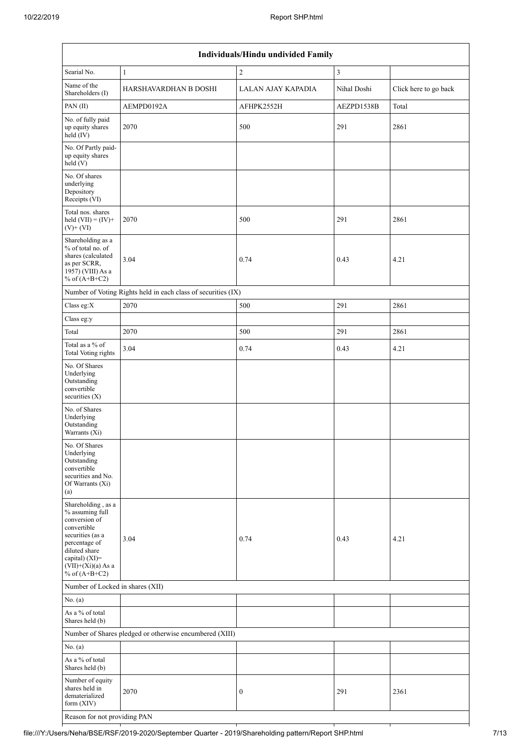| Individuals/Hindu undivided Family                                                                                                                                                       |                                                               |                    |                |                       |  |  |  |  |  |  |
|------------------------------------------------------------------------------------------------------------------------------------------------------------------------------------------|---------------------------------------------------------------|--------------------|----------------|-----------------------|--|--|--|--|--|--|
| Searial No.                                                                                                                                                                              | $\mathbf{1}$                                                  | $\sqrt{2}$         | $\mathfrak{Z}$ |                       |  |  |  |  |  |  |
| Name of the<br>Shareholders (I)                                                                                                                                                          | HARSHAVARDHAN B DOSHI                                         | LALAN AJAY KAPADIA | Nihal Doshi    | Click here to go back |  |  |  |  |  |  |
| PAN(II)                                                                                                                                                                                  | AEMPD0192A                                                    | AFHPK2552H         | AEZPD1538B     | Total                 |  |  |  |  |  |  |
| No. of fully paid<br>up equity shares<br>held (IV)                                                                                                                                       | 2070                                                          | 500                | 291            | 2861                  |  |  |  |  |  |  |
| No. Of Partly paid-<br>up equity shares<br>held (V)                                                                                                                                      |                                                               |                    |                |                       |  |  |  |  |  |  |
| No. Of shares<br>underlying<br>Depository<br>Receipts (VI)                                                                                                                               |                                                               |                    |                |                       |  |  |  |  |  |  |
| Total nos. shares<br>held $(VII) = (IV) +$<br>$(V)+(VI)$                                                                                                                                 | 2070                                                          | 500                | 291            | 2861                  |  |  |  |  |  |  |
| Shareholding as a<br>% of total no. of<br>shares (calculated<br>as per SCRR,<br>1957) (VIII) As a<br>% of $(A+B+C2)$                                                                     | 3.04                                                          | 0.74               | 0.43           | 4.21                  |  |  |  |  |  |  |
|                                                                                                                                                                                          | Number of Voting Rights held in each class of securities (IX) |                    |                |                       |  |  |  |  |  |  |
| Class eg:X                                                                                                                                                                               | 2070                                                          | 500                | 291            | 2861                  |  |  |  |  |  |  |
| Class eg:y                                                                                                                                                                               |                                                               |                    |                |                       |  |  |  |  |  |  |
| Total                                                                                                                                                                                    | 2070                                                          | 500                | 291            | 2861                  |  |  |  |  |  |  |
| Total as a % of<br>Total Voting rights                                                                                                                                                   | 3.04                                                          | 0.74               | 0.43           | 4.21                  |  |  |  |  |  |  |
| No. Of Shares<br>Underlying<br>Outstanding<br>convertible<br>securities $(X)$                                                                                                            |                                                               |                    |                |                       |  |  |  |  |  |  |
| No. of Shares<br>Underlying<br>Outstanding<br>Warrants (Xi)                                                                                                                              |                                                               |                    |                |                       |  |  |  |  |  |  |
| No. Of Shares<br>Underlying<br>Outstanding<br>convertible<br>securities and No.<br>Of Warrants (Xi)<br>(a)                                                                               |                                                               |                    |                |                       |  |  |  |  |  |  |
| Shareholding, as a<br>% assuming full<br>conversion of<br>convertible<br>securities (as a<br>percentage of<br>diluted share<br>capital) (XI)=<br>$(VII)+(Xi)(a)$ As a<br>% of $(A+B+C2)$ | 3.04                                                          | 0.74               | 0.43           | 4.21                  |  |  |  |  |  |  |
| Number of Locked in shares (XII)                                                                                                                                                         |                                                               |                    |                |                       |  |  |  |  |  |  |
| No. (a)                                                                                                                                                                                  |                                                               |                    |                |                       |  |  |  |  |  |  |
| As a $\%$ of total<br>Shares held (b)                                                                                                                                                    |                                                               |                    |                |                       |  |  |  |  |  |  |
|                                                                                                                                                                                          | Number of Shares pledged or otherwise encumbered (XIII)       |                    |                |                       |  |  |  |  |  |  |
| No. (a)                                                                                                                                                                                  |                                                               |                    |                |                       |  |  |  |  |  |  |
| As a % of total<br>Shares held (b)                                                                                                                                                       |                                                               |                    |                |                       |  |  |  |  |  |  |
| Number of equity<br>shares held in<br>dematerialized<br>form (XIV)                                                                                                                       | 2070                                                          | $\boldsymbol{0}$   | 291            | 2361                  |  |  |  |  |  |  |
|                                                                                                                                                                                          | Reason for not providing PAN                                  |                    |                |                       |  |  |  |  |  |  |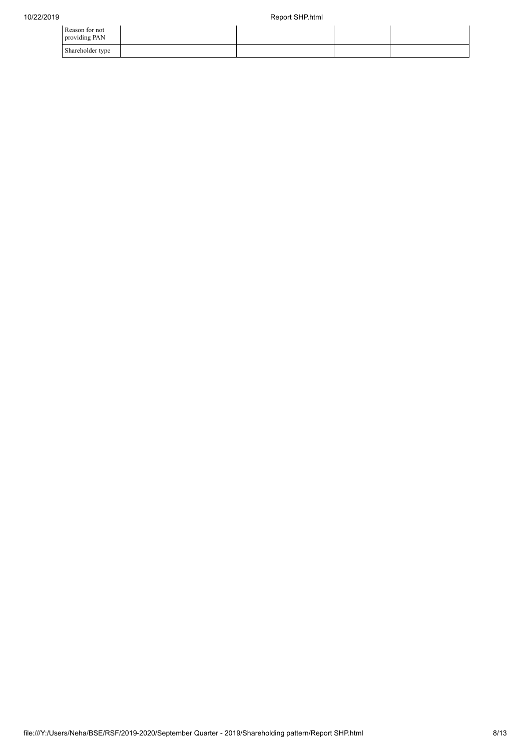| Reason for not<br>providing PAN |  |  |
|---------------------------------|--|--|
| Shareholder type                |  |  |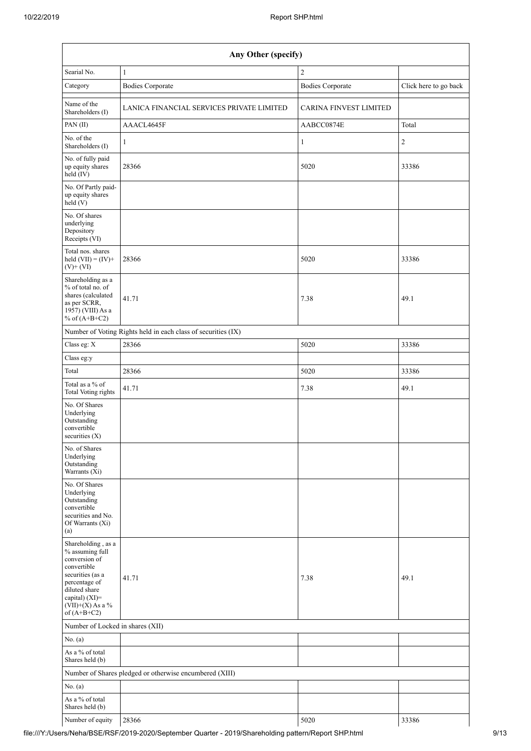| Any Other (specify)                                                                                                                                                                     |                                                               |                               |                       |  |  |  |  |  |  |
|-----------------------------------------------------------------------------------------------------------------------------------------------------------------------------------------|---------------------------------------------------------------|-------------------------------|-----------------------|--|--|--|--|--|--|
| Searial No.                                                                                                                                                                             | $\mathbf{1}$                                                  | $\overline{2}$                |                       |  |  |  |  |  |  |
| Category                                                                                                                                                                                | <b>Bodies Corporate</b>                                       | <b>Bodies Corporate</b>       | Click here to go back |  |  |  |  |  |  |
| Name of the<br>Shareholders (I)                                                                                                                                                         | LANICA FINANCIAL SERVICES PRIVATE LIMITED                     | <b>CARINA FINVEST LIMITED</b> |                       |  |  |  |  |  |  |
| PAN(II)                                                                                                                                                                                 | AAACL4645F                                                    | AABCC0874E                    | Total                 |  |  |  |  |  |  |
| No. of the<br>Shareholders (I)                                                                                                                                                          | $\mathbf{1}$                                                  | $\mathbf{1}$                  | $\sqrt{2}$            |  |  |  |  |  |  |
| No. of fully paid<br>up equity shares<br>$\text{held}(\text{IV})$                                                                                                                       | 28366                                                         | 5020                          | 33386                 |  |  |  |  |  |  |
| No. Of Partly paid-<br>up equity shares<br>held(V)                                                                                                                                      |                                                               |                               |                       |  |  |  |  |  |  |
| No. Of shares<br>underlying<br>Depository<br>Receipts (VI)                                                                                                                              |                                                               |                               |                       |  |  |  |  |  |  |
| Total nos. shares<br>held $(VII) = (IV) +$<br>$(V)$ + $(VI)$                                                                                                                            | 28366                                                         | 5020                          | 33386                 |  |  |  |  |  |  |
| Shareholding as a<br>% of total no. of<br>shares (calculated<br>as per SCRR,<br>1957) (VIII) As a<br>% of $(A+B+C2)$                                                                    | 41.71                                                         | 7.38                          | 49.1                  |  |  |  |  |  |  |
|                                                                                                                                                                                         | Number of Voting Rights held in each class of securities (IX) |                               |                       |  |  |  |  |  |  |
| Class eg: X                                                                                                                                                                             | 28366                                                         | 5020                          | 33386                 |  |  |  |  |  |  |
| Class eg:y                                                                                                                                                                              |                                                               |                               |                       |  |  |  |  |  |  |
| Total                                                                                                                                                                                   | 28366                                                         | 5020                          | 33386                 |  |  |  |  |  |  |
| Total as a % of<br>Total Voting rights                                                                                                                                                  | 41.71                                                         | 7.38                          | 49.1                  |  |  |  |  |  |  |
| No. Of Shares<br>Underlying<br>Outstanding<br>convertible<br>securities $(X)$                                                                                                           |                                                               |                               |                       |  |  |  |  |  |  |
| No. of Shares<br>Underlying<br>Outstanding<br>Warrants (Xi)                                                                                                                             |                                                               |                               |                       |  |  |  |  |  |  |
| No. Of Shares<br>Underlying<br>Outstanding<br>convertible<br>securities and No.<br>Of Warrants (Xi)<br>(a)                                                                              |                                                               |                               |                       |  |  |  |  |  |  |
| Shareholding, as a<br>% assuming full<br>conversion of<br>convertible<br>securities (as a<br>percentage of<br>diluted share<br>capital) $(XI)$ =<br>$(VII)+(X)$ As a %<br>of $(A+B+C2)$ | 41.71                                                         | 7.38                          | 49.1                  |  |  |  |  |  |  |
| Number of Locked in shares (XII)                                                                                                                                                        |                                                               |                               |                       |  |  |  |  |  |  |
| No. $(a)$                                                                                                                                                                               |                                                               |                               |                       |  |  |  |  |  |  |
| As a % of total<br>Shares held (b)                                                                                                                                                      |                                                               |                               |                       |  |  |  |  |  |  |
|                                                                                                                                                                                         | Number of Shares pledged or otherwise encumbered (XIII)       |                               |                       |  |  |  |  |  |  |
| No. (a)                                                                                                                                                                                 |                                                               |                               |                       |  |  |  |  |  |  |
| As a % of total<br>Shares held (b)                                                                                                                                                      |                                                               |                               |                       |  |  |  |  |  |  |
| Number of equity                                                                                                                                                                        | 28366                                                         | 5020                          | 33386                 |  |  |  |  |  |  |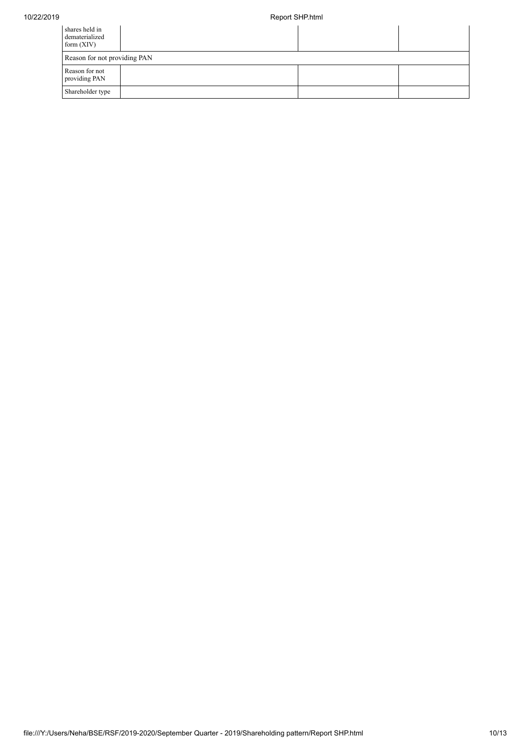| shares held in<br>dematerialized<br>form $(XIV)$ |  |  |  |  |  |  |  |
|--------------------------------------------------|--|--|--|--|--|--|--|
| Reason for not providing PAN                     |  |  |  |  |  |  |  |
| Reason for not<br>providing PAN                  |  |  |  |  |  |  |  |
| Shareholder type                                 |  |  |  |  |  |  |  |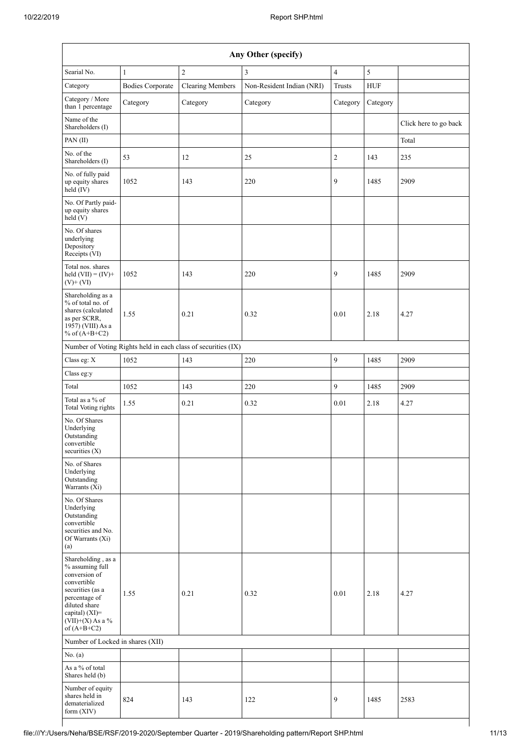| Any Other (specify)                                                                                                                                                                     |                         |                                                               |                           |                |            |                       |  |  |  |  |
|-----------------------------------------------------------------------------------------------------------------------------------------------------------------------------------------|-------------------------|---------------------------------------------------------------|---------------------------|----------------|------------|-----------------------|--|--|--|--|
| Searial No.                                                                                                                                                                             | $\mathbf{1}$            | $\overline{c}$                                                | 3                         | $\overline{4}$ | 5          |                       |  |  |  |  |
| Category                                                                                                                                                                                | <b>Bodies Corporate</b> | <b>Clearing Members</b>                                       | Non-Resident Indian (NRI) | Trusts         | <b>HUF</b> |                       |  |  |  |  |
| Category / More<br>than 1 percentage                                                                                                                                                    | Category                | Category                                                      | Category                  | Category       | Category   |                       |  |  |  |  |
| Name of the<br>Shareholders (I)                                                                                                                                                         |                         |                                                               |                           |                |            | Click here to go back |  |  |  |  |
| PAN(II)                                                                                                                                                                                 |                         |                                                               |                           |                |            | Total                 |  |  |  |  |
| No. of the<br>Shareholders (I)                                                                                                                                                          | 53                      | 12                                                            | 25                        | $\overline{c}$ | 143        | 235                   |  |  |  |  |
| No. of fully paid<br>up equity shares<br>held (IV)                                                                                                                                      | 1052                    | 143                                                           | 220                       | 9              | 1485       | 2909                  |  |  |  |  |
| No. Of Partly paid-<br>up equity shares<br>held (V)                                                                                                                                     |                         |                                                               |                           |                |            |                       |  |  |  |  |
| No. Of shares<br>underlying<br>Depository<br>Receipts (VI)                                                                                                                              |                         |                                                               |                           |                |            |                       |  |  |  |  |
| Total nos. shares<br>held $(VII) = (IV) +$<br>$(V)+(VI)$                                                                                                                                | 1052                    | 143                                                           | 220                       | 9              | 1485       | 2909                  |  |  |  |  |
| Shareholding as a<br>% of total no. of<br>shares (calculated<br>as per SCRR,<br>1957) (VIII) As a<br>% of $(A+B+C2)$                                                                    | 1.55                    | 0.21                                                          | 0.32                      | 0.01           | 2.18       | 4.27                  |  |  |  |  |
|                                                                                                                                                                                         |                         | Number of Voting Rights held in each class of securities (IX) |                           |                |            |                       |  |  |  |  |
| Class eg: X                                                                                                                                                                             | 1052                    | 143                                                           | 220                       | $\mathfrak{g}$ | 1485       | 2909                  |  |  |  |  |
| Class eg:y                                                                                                                                                                              |                         |                                                               |                           |                |            |                       |  |  |  |  |
| Total                                                                                                                                                                                   | 1052                    | 143                                                           | 220                       | $\mathfrak{g}$ | 1485       | 2909                  |  |  |  |  |
| Total as a % of<br><b>Total Voting rights</b>                                                                                                                                           | 1.55                    | 0.21                                                          | 0.32                      | 0.01           | 2.18       | 4.27                  |  |  |  |  |
| No. Of Shares<br>Underlying<br>Outstanding<br>convertible<br>securities $(X)$                                                                                                           |                         |                                                               |                           |                |            |                       |  |  |  |  |
| No. of Shares<br>Underlying<br>Outstanding<br>Warrants (Xi)                                                                                                                             |                         |                                                               |                           |                |            |                       |  |  |  |  |
| No. Of Shares<br>Underlying<br>Outstanding<br>convertible<br>securities and No.<br>Of Warrants (Xi)<br>(a)                                                                              |                         |                                                               |                           |                |            |                       |  |  |  |  |
| Shareholding, as a<br>% assuming full<br>conversion of<br>convertible<br>securities (as a<br>percentage of<br>diluted share<br>capital) $(XI)$ =<br>$(VII)+(X)$ As a %<br>of $(A+B+C2)$ | 1.55                    | 0.21                                                          | 0.32                      | 0.01           | 2.18       | 4.27                  |  |  |  |  |
| Number of Locked in shares (XII)                                                                                                                                                        |                         |                                                               |                           |                |            |                       |  |  |  |  |
| No. (a)                                                                                                                                                                                 |                         |                                                               |                           |                |            |                       |  |  |  |  |
| As a % of total<br>Shares held (b)                                                                                                                                                      |                         |                                                               |                           |                |            |                       |  |  |  |  |
| Number of equity<br>shares held in<br>dematerialized<br>form (XIV)                                                                                                                      | 824                     | 143                                                           | 122                       | 9              | 1485       | 2583                  |  |  |  |  |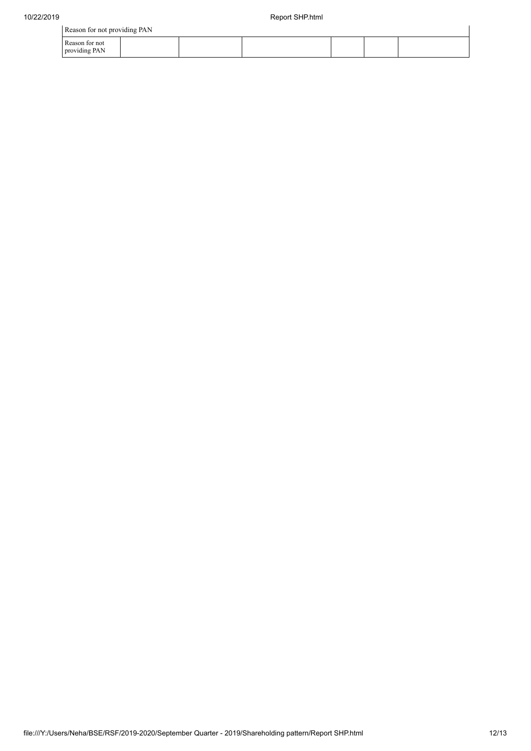|                                 | Reason for not providing PAN |  |  |  |  |  |  |  |  |  |
|---------------------------------|------------------------------|--|--|--|--|--|--|--|--|--|
| Reason for not<br>providing PAN |                              |  |  |  |  |  |  |  |  |  |